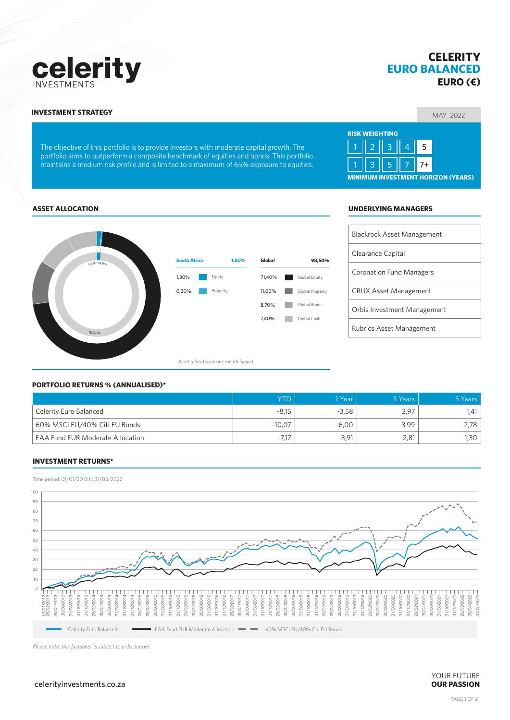## celerity **INVESTMENT**

The objective of this portfolio is to provide investors with moderate capital growth. The portfolio aims to outperform a composite benchmark of equities and bonds. This portfolio maintains a medium risk profile and is limited to a maximum of 65% exposure to equities.

# **EURO (€)** MAY 2022 **INVESTMENT STRATEGY**

**EURO BALANCED**

**CELERITY**



#### **ASSET ALLOCATION UNDERLYING MANAGERS**



**South Africa 1,50% Global 98,50%** ٦ Equity 71,40% **Global Equity** Property 11,00% Global Property 8,70% **Global Bonds** 7,40% Global Cash

*Asset allocation is one month lagged.*

#### **PORTFOLIO RETURNS % (ANNUALISED)\***

|                                         | <b>YTD</b> | 1 Year  | 3 Years | 5 Years |
|-----------------------------------------|------------|---------|---------|---------|
| Celerity Euro Balanced                  | $-8,15$    | $-3.58$ | 3,97    | 1.41    |
| 60% MSCI EU/40% Citi EU Bonds           | $-10,07$   | $-6,00$ | 3,99    | 2,78    |
| <b>EAA Fund EUR Moderate Allocation</b> | $-7.17$    | $-3.91$ | 2.81    | 1,30    |

#### **INVESTMENT RETURNS\***

Time period: 01/01/2013 to 31/05/2022



*Please note: this factsheet is subject to a disclaimer.*

 $celerityinvestments.co.za$